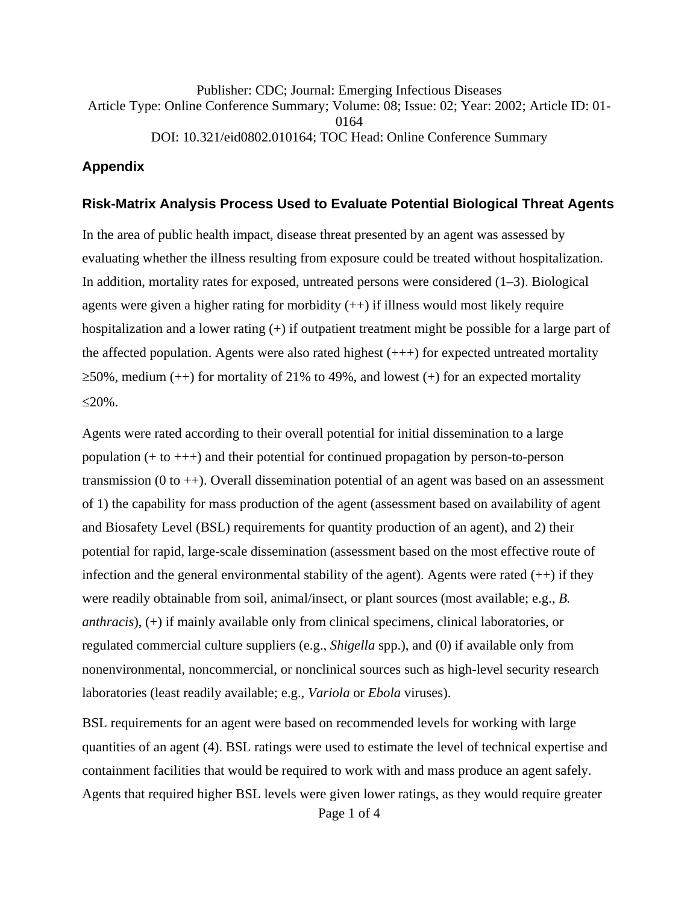Publisher: CDC; Journal: Emerging Infectious Diseases Article Type: Online Conference Summary; Volume: 08; Issue: 02; Year: 2002; Article ID: 01- 0164 DOI: 10.321/eid0802.010164; TOC Head: Online Conference Summary

## **Appendix**

## **Risk-Matrix Analysis Process Used to Evaluate Potential Biological Threat Agents**

In the area of public health impact, disease threat presented by an agent was assessed by evaluating whether the illness resulting from exposure could be treated without hospitalization. In addition, mortality rates for exposed, untreated persons were considered  $(1-3)$ . Biological agents were given a higher rating for morbidity  $(++)$  if illness would most likely require hospitalization and a lower rating (+) if outpatient treatment might be possible for a large part of the affected population. Agents were also rated highest  $(++)$  for expected untreated mortality  $\geq$ 50%, medium (++) for mortality of 21% to 49%, and lowest (+) for an expected mortality  $\leq$ 20%.

Agents were rated according to their overall potential for initial dissemination to a large population (+ to +++) and their potential for continued propagation by person-to-person transmission  $(0 to +)$ . Overall dissemination potential of an agent was based on an assessment of 1) the capability for mass production of the agent (assessment based on availability of agent and Biosafety Level (BSL) requirements for quantity production of an agent), and 2) their potential for rapid, large-scale dissemination (assessment based on the most effective route of infection and the general environmental stability of the agent). Agents were rated  $(++)$  if they were readily obtainable from soil, animal/insect, or plant sources (most available; e.g., *B. anthracis*), (+) if mainly available only from clinical specimens, clinical laboratories, or regulated commercial culture suppliers (e.g., *Shigella* spp.), and (0) if available only from nonenvironmental, noncommercial, or nonclinical sources such as high-level security research laboratories (least readily available; e.g., *Variola* or *Ebola* viruses).

Page 1 of 4 BSL requirements for an agent were based on recommended levels for working with large quantities of an agent (4). BSL ratings were used to estimate the level of technical expertise and containment facilities that would be required to work with and mass produce an agent safely. Agents that required higher BSL levels were given lower ratings, as they would require greater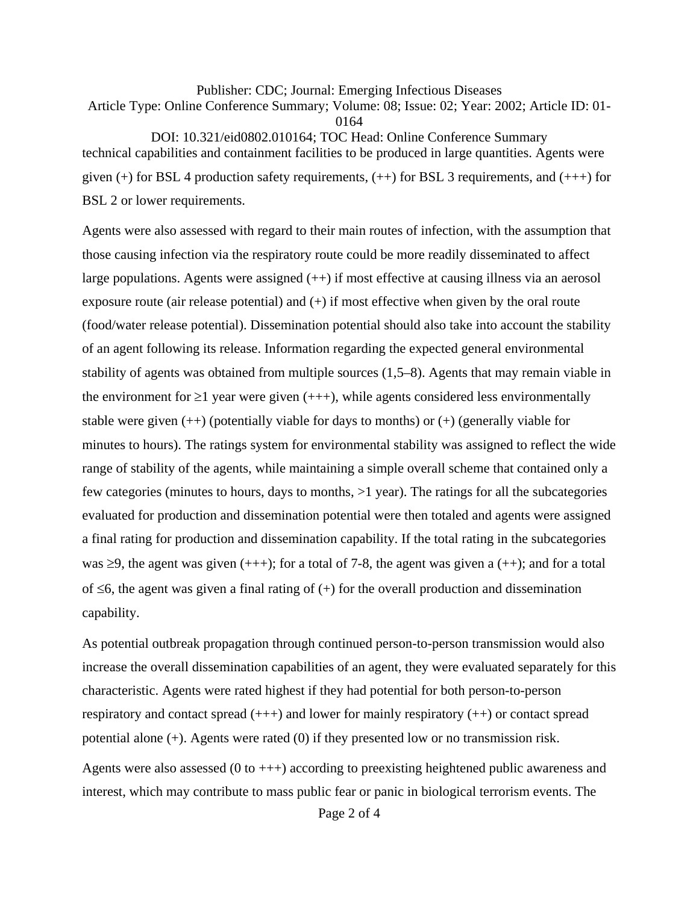Publisher: CDC; Journal: Emerging Infectious Diseases Article Type: Online Conference Summary; Volume: 08; Issue: 02; Year: 2002; Article ID: 01- 0164 DOI: 10.321/eid0802.010164; TOC Head: Online Conference Summary technical capabilities and containment facilities to be produced in large quantities. Agents were given  $(+)$  for BSL 4 production safety requirements,  $(++)$  for BSL 3 requirements, and  $(++)$  for

BSL 2 or lower requirements.

Agents were also assessed with regard to their main routes of infection, with the assumption that those causing infection via the respiratory route could be more readily disseminated to affect large populations. Agents were assigned (++) if most effective at causing illness via an aerosol exposure route (air release potential) and  $(+)$  if most effective when given by the oral route (food/water release potential). Dissemination potential should also take into account the stability of an agent following its release. Information regarding the expected general environmental stability of agents was obtained from multiple sources (1,5–8). Agents that may remain viable in the environment for  $\geq 1$  year were given (+++), while agents considered less environmentally stable were given  $(++)$  (potentially viable for days to months) or  $(+)$  (generally viable for minutes to hours). The ratings system for environmental stability was assigned to reflect the wide range of stability of the agents, while maintaining a simple overall scheme that contained only a few categories (minutes to hours, days to months, >1 year). The ratings for all the subcategories evaluated for production and dissemination potential were then totaled and agents were assigned a final rating for production and dissemination capability. If the total rating in the subcategories was  $\geq$ 9, the agent was given (+++); for a total of 7-8, the agent was given a (++); and for a total of  $\leq 6$ , the agent was given a final rating of (+) for the overall production and dissemination capability.

As potential outbreak propagation through continued person-to-person transmission would also increase the overall dissemination capabilities of an agent, they were evaluated separately for this characteristic. Agents were rated highest if they had potential for both person-to-person respiratory and contact spread  $(++)$  and lower for mainly respiratory  $(++)$  or contact spread potential alone (+). Agents were rated (0) if they presented low or no transmission risk.

Agents were also assessed  $(0 \text{ to } +++)$  according to preexisting heightened public awareness and interest, which may contribute to mass public fear or panic in biological terrorism events. The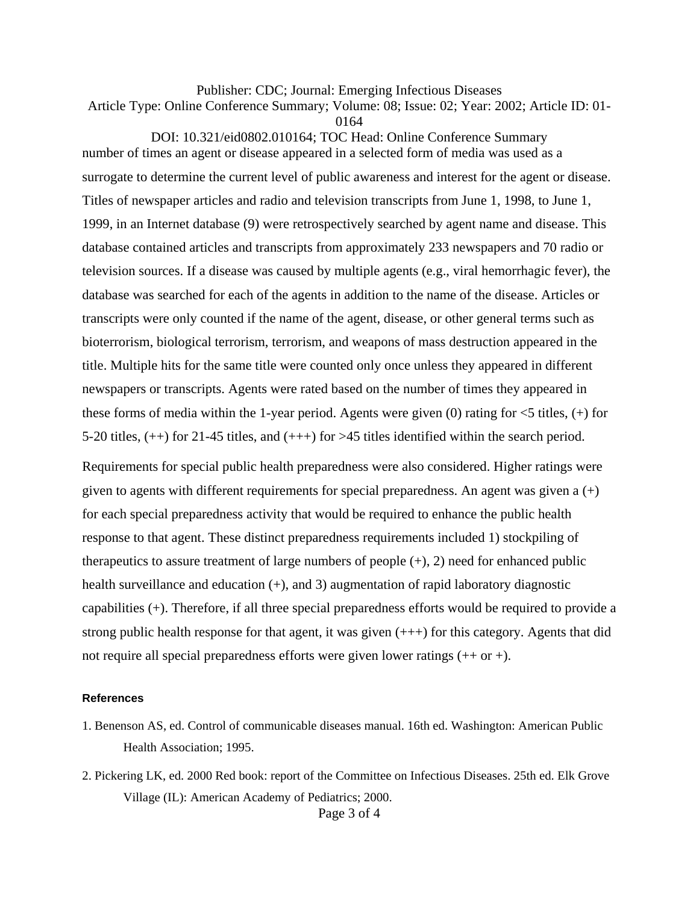Publisher: CDC; Journal: Emerging Infectious Diseases

Article Type: Online Conference Summary; Volume: 08; Issue: 02; Year: 2002; Article ID: 01-

0164

DOI: 10.321/eid0802.010164; TOC Head: Online Conference Summary number of times an agent or disease appeared in a selected form of media was used as a surrogate to determine the current level of public awareness and interest for the agent or disease. Titles of newspaper articles and radio and television transcripts from June 1, 1998, to June 1, 1999, in an Internet database (9) were retrospectively searched by agent name and disease. This database contained articles and transcripts from approximately 233 newspapers and 70 radio or television sources. If a disease was caused by multiple agents (e.g., viral hemorrhagic fever), the database was searched for each of the agents in addition to the name of the disease. Articles or transcripts were only counted if the name of the agent, disease, or other general terms such as bioterrorism, biological terrorism, terrorism, and weapons of mass destruction appeared in the title. Multiple hits for the same title were counted only once unless they appeared in different newspapers or transcripts. Agents were rated based on the number of times they appeared in these forms of media within the 1-year period. Agents were given  $(0)$  rating for  $\lt 5$  titles,  $(+)$  for 5-20 titles, (++) for 21-45 titles, and (+++) for >45 titles identified within the search period.

Requirements for special public health preparedness were also considered. Higher ratings were given to agents with different requirements for special preparedness. An agent was given a  $(+)$ for each special preparedness activity that would be required to enhance the public health response to that agent. These distinct preparedness requirements included 1) stockpiling of therapeutics to assure treatment of large numbers of people  $(+)$ , 2) need for enhanced public health surveillance and education (+), and 3) augmentation of rapid laboratory diagnostic capabilities (+). Therefore, if all three special preparedness efforts would be required to provide a strong public health response for that agent, it was given (+++) for this category. Agents that did not require all special preparedness efforts were given lower ratings  $(+\alpha +)$ .

## **References**

- 1. Benenson AS, ed. Control of communicable diseases manual. 16th ed. Washington: American Public Health Association; 1995.
- Page 3 of 4 2. Pickering LK, ed. 2000 Red book: report of the Committee on Infectious Diseases. 25th ed. Elk Grove Village (IL): American Academy of Pediatrics; 2000.